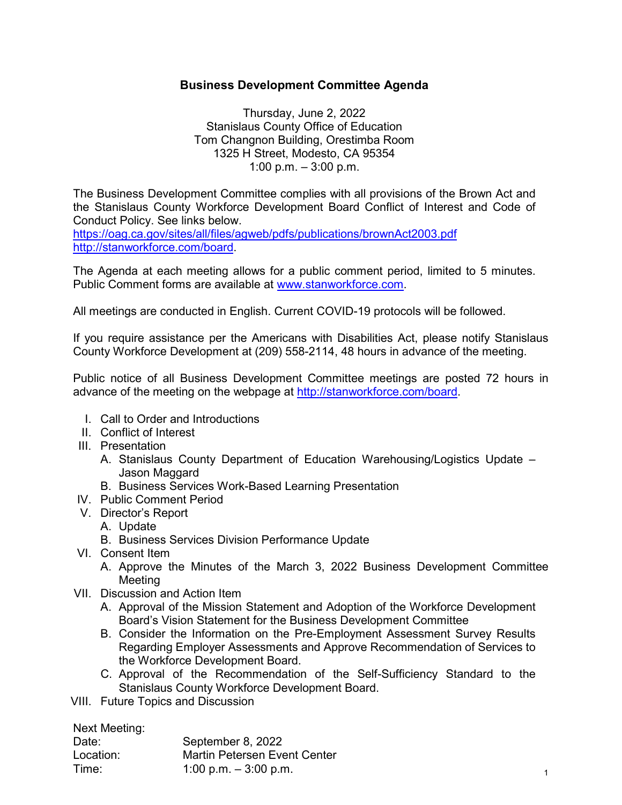### **Business Development Committee Agenda**

Thursday, June 2, 2022 Stanislaus County Office of Education Tom Changnon Building, Orestimba Room 1325 H Street, Modesto, CA 95354 1:00 p.m. – 3:00 p.m.

The Business Development Committee complies with all provisions of the Brown Act and the Stanislaus County Workforce Development Board Conflict of Interest and Code of Conduct Policy. See links below.

<https://oag.ca.gov/sites/all/files/agweb/pdfs/publications/brownAct2003.pdf> [http://stanworkforce.com/board.](http://stanworkforce.com/board)

The Agenda at each meeting allows for a public comment period, limited to 5 minutes. Public Comment forms are available at [www.stanworkforce.com.](http://www.stanworkforce.com/)

All meetings are conducted in English. Current COVID-19 protocols will be followed.

If you require assistance per the Americans with Disabilities Act, please notify Stanislaus County Workforce Development at (209) 558-2114, 48 hours in advance of the meeting.

Public notice of all Business Development Committee meetings are posted 72 hours in advance of the meeting on the webpage at [http://stanworkforce.com/board.](http://stanworkforce.com/board)

- I. Call to Order and Introductions
- II. Conflict of Interest
- III. Presentation
	- A. Stanislaus County Department of Education Warehousing/Logistics Update Jason Maggard
	- B. Business Services Work-Based Learning Presentation
- IV. Public Comment Period
- V. Director's Report
	- A. Update
	- B. Business Services Division Performance Update
- VI. Consent Item
	- A. Approve the Minutes of the March 3, 2022 Business Development Committee Meeting
- VII. Discussion and Action Item
	- A. Approval of the Mission Statement and Adoption of the Workforce Development Board's Vision Statement for the Business Development Committee
	- B. Consider the Information on the Pre-Employment Assessment Survey Results Regarding Employer Assessments and Approve Recommendation of Services to the Workforce Development Board.
	- C. Approval of the Recommendation of the Self-Sufficiency Standard to the Stanislaus County Workforce Development Board.
- VIII. Future Topics and Discussion

Next Meeting:

| Date:     | September 8, 2022                   |  |
|-----------|-------------------------------------|--|
| Location: | <b>Martin Petersen Event Center</b> |  |
| Time:     | 1:00 p.m. $-$ 3:00 p.m.             |  |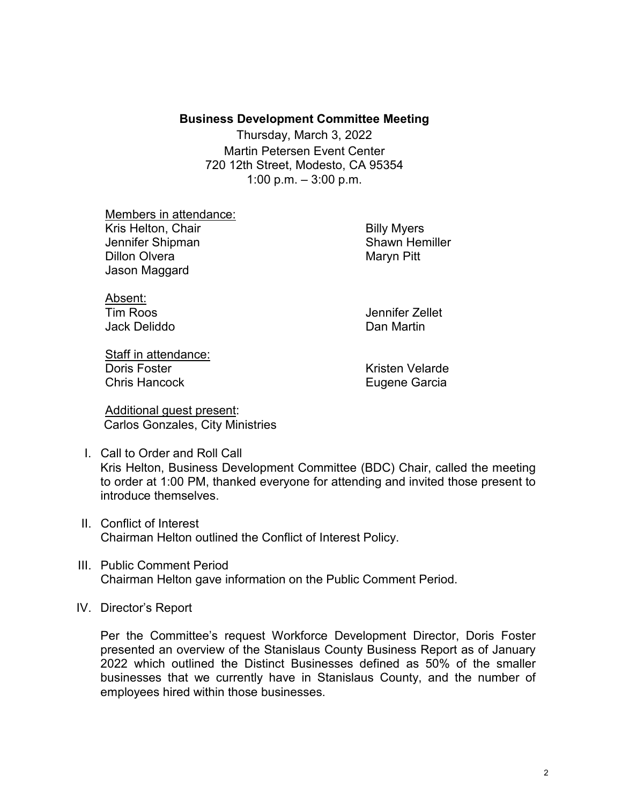#### **Business Development Committee Meeting**

Thursday, March 3, 2022 Martin Petersen Event Center 720 12th Street, Modesto, CA 95354 1:00 p.m.  $-3:00$  p.m.

Members in attendance: Kris Helton, Chair **Billy Myers** Billy Myers Jennifer Shipman Shawn Hemiller Dillon Olvera **Maryo Pitt** Jason Maggard

Absent: Jack Deliddo Dan Martin

Tim Roos Jennifer Zellet

Staff in attendance: Doris Foster **Kristen Velarde** Chris Hancock **Eugene Garcia** 

Additional guest present: Carlos Gonzales, City Ministries

- I. Call to Order and Roll Call Kris Helton, Business Development Committee (BDC) Chair, called the meeting to order at 1:00 PM, thanked everyone for attending and invited those present to introduce themselves.
- II. Conflict of Interest Chairman Helton outlined the Conflict of Interest Policy.
- III. Public Comment Period Chairman Helton gave information on the Public Comment Period.
- IV. Director's Report

Per the Committee's request Workforce Development Director, Doris Foster presented an overview of the Stanislaus County Business Report as of January 2022 which outlined the Distinct Businesses defined as 50% of the smaller businesses that we currently have in Stanislaus County, and the number of employees hired within those businesses.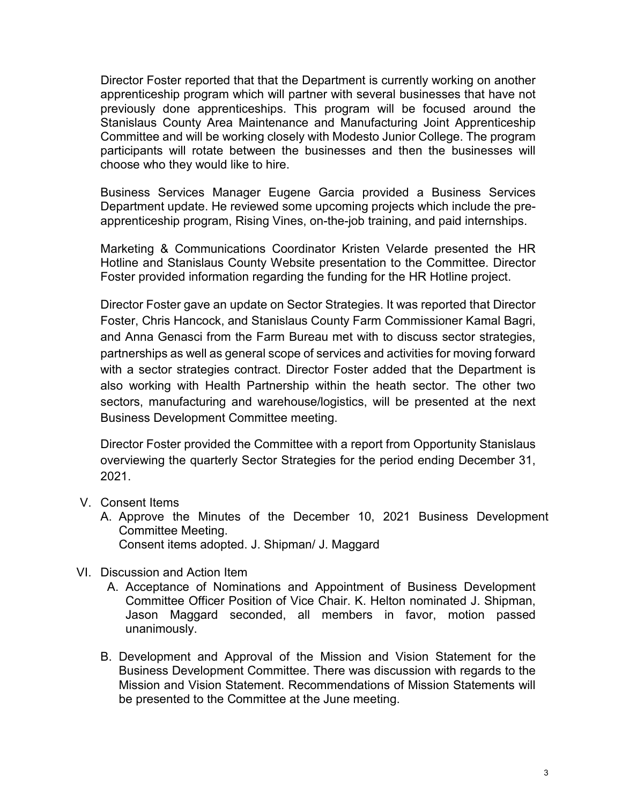Director Foster reported that that the Department is currently working on another apprenticeship program which will partner with several businesses that have not previously done apprenticeships. This program will be focused around the Stanislaus County Area Maintenance and Manufacturing Joint Apprenticeship Committee and will be working closely with Modesto Junior College. The program participants will rotate between the businesses and then the businesses will choose who they would like to hire.

Business Services Manager Eugene Garcia provided a Business Services Department update. He reviewed some upcoming projects which include the preapprenticeship program, Rising Vines, on-the-job training, and paid internships.

Marketing & Communications Coordinator Kristen Velarde presented the HR Hotline and Stanislaus County Website presentation to the Committee. Director Foster provided information regarding the funding for the HR Hotline project.

Director Foster gave an update on Sector Strategies. It was reported that Director Foster, Chris Hancock, and Stanislaus County Farm Commissioner Kamal Bagri, and Anna Genasci from the Farm Bureau met with to discuss sector strategies, partnerships as well as general scope of services and activities for moving forward with a sector strategies contract. Director Foster added that the Department is also working with Health Partnership within the heath sector. The other two sectors, manufacturing and warehouse/logistics, will be presented at the next Business Development Committee meeting.

Director Foster provided the Committee with a report from Opportunity Stanislaus overviewing the quarterly Sector Strategies for the period ending December 31, 2021.

- V. Consent Items
	- A. Approve the Minutes of the December 10, 2021 Business Development Committee Meeting. Consent items adopted. J. Shipman/ J. Maggard
- VI. Discussion and Action Item
	- A. Acceptance of Nominations and Appointment of Business Development Committee Officer Position of Vice Chair. K. Helton nominated J. Shipman, Jason Maggard seconded, all members in favor, motion passed unanimously.
	- B. Development and Approval of the Mission and Vision Statement for the Business Development Committee. There was discussion with regards to the Mission and Vision Statement. Recommendations of Mission Statements will be presented to the Committee at the June meeting.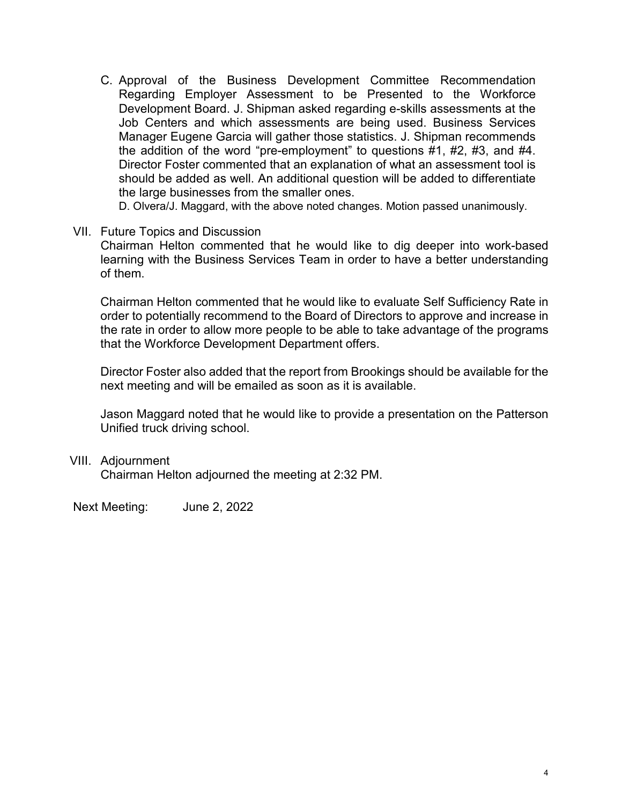C. Approval of the Business Development Committee Recommendation Regarding Employer Assessment to be Presented to the Workforce Development Board. J. Shipman asked regarding e-skills assessments at the Job Centers and which assessments are being used. Business Services Manager Eugene Garcia will gather those statistics. J. Shipman recommends the addition of the word "pre-employment" to questions #1, #2, #3, and #4. Director Foster commented that an explanation of what an assessment tool is should be added as well. An additional question will be added to differentiate the large businesses from the smaller ones.

D. Olvera/J. Maggard, with the above noted changes. Motion passed unanimously.

VII. Future Topics and Discussion Chairman Helton commented that he would like to dig deeper into work-based learning with the Business Services Team in order to have a better understanding of them.

Chairman Helton commented that he would like to evaluate Self Sufficiency Rate in order to potentially recommend to the Board of Directors to approve and increase in the rate in order to allow more people to be able to take advantage of the programs that the Workforce Development Department offers.

Director Foster also added that the report from Brookings should be available for the next meeting and will be emailed as soon as it is available.

Jason Maggard noted that he would like to provide a presentation on the Patterson Unified truck driving school.

VIII. Adjournment

Chairman Helton adjourned the meeting at 2:32 PM.

Next Meeting: June 2, 2022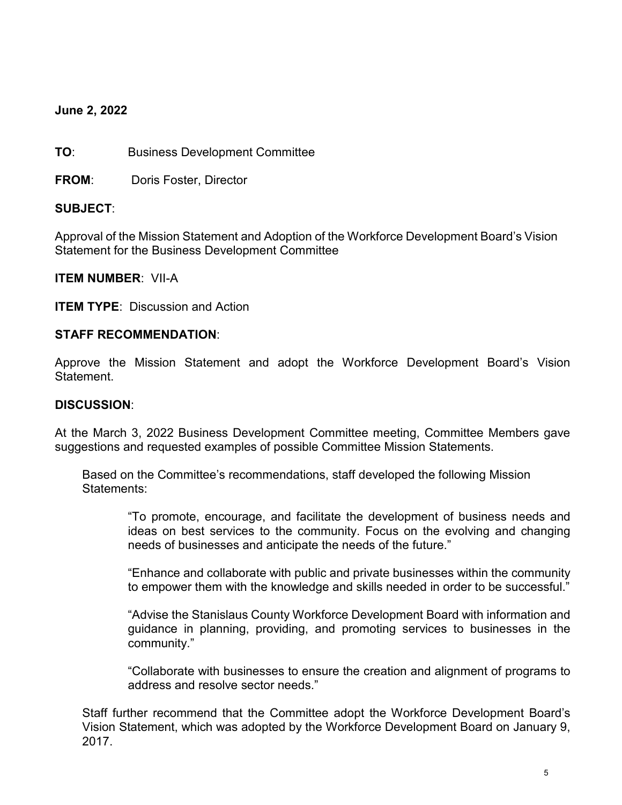### **June 2, 2022**

**TO**: Business Development Committee

**FROM**: Doris Foster, Director

### **SUBJECT**:

Approval of the Mission Statement and Adoption of the Workforce Development Board's Vision Statement for the Business Development Committee

**ITEM NUMBER**: VII-A

**ITEM TYPE: Discussion and Action** 

### **STAFF RECOMMENDATION**:

Approve the Mission Statement and adopt the Workforce Development Board's Vision Statement.

#### **DISCUSSION**:

At the March 3, 2022 Business Development Committee meeting, Committee Members gave suggestions and requested examples of possible Committee Mission Statements.

Based on the Committee's recommendations, staff developed the following Mission Statements:

"To promote, encourage, and facilitate the development of business needs and ideas on best services to the community. Focus on the evolving and changing needs of businesses and anticipate the needs of the future."

"Enhance and collaborate with public and private businesses within the community to empower them with the knowledge and skills needed in order to be successful."

"Advise the Stanislaus County Workforce Development Board with information and guidance in planning, providing, and promoting services to businesses in the community."

"Collaborate with businesses to ensure the creation and alignment of programs to address and resolve sector needs."

Staff further recommend that the Committee adopt the Workforce Development Board's Vision Statement, which was adopted by the Workforce Development Board on January 9, 2017.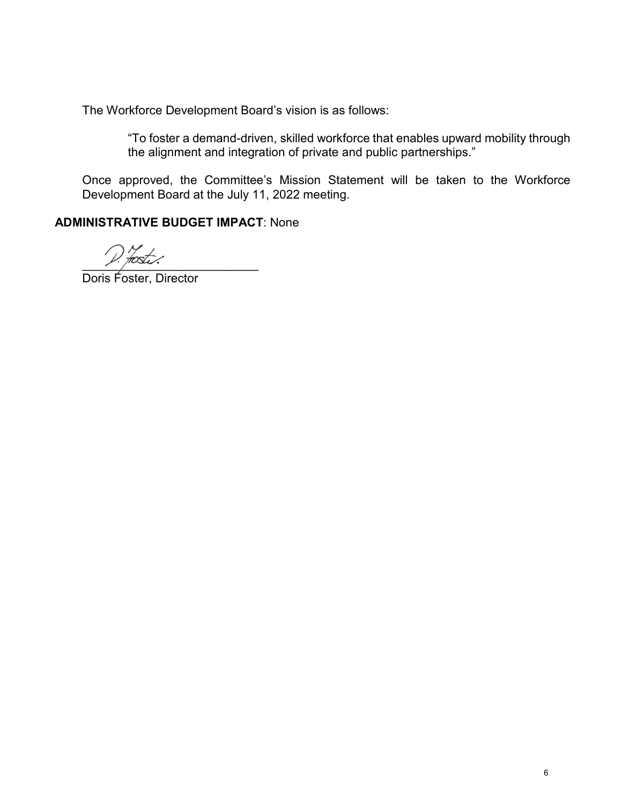The Workforce Development Board's vision is as follows:

"To foster a demand-driven, skilled workforce that enables upward mobility through the alignment and integration of private and public partnerships."

Once approved, the Committee's Mission Statement will be taken to the Workforce Development Board at the July 11, 2022 meeting.

### **ADMINISTRATIVE BUDGET IMPACT**: None

 $Y \cdot \mu \infty$ .

Doris Foster, Director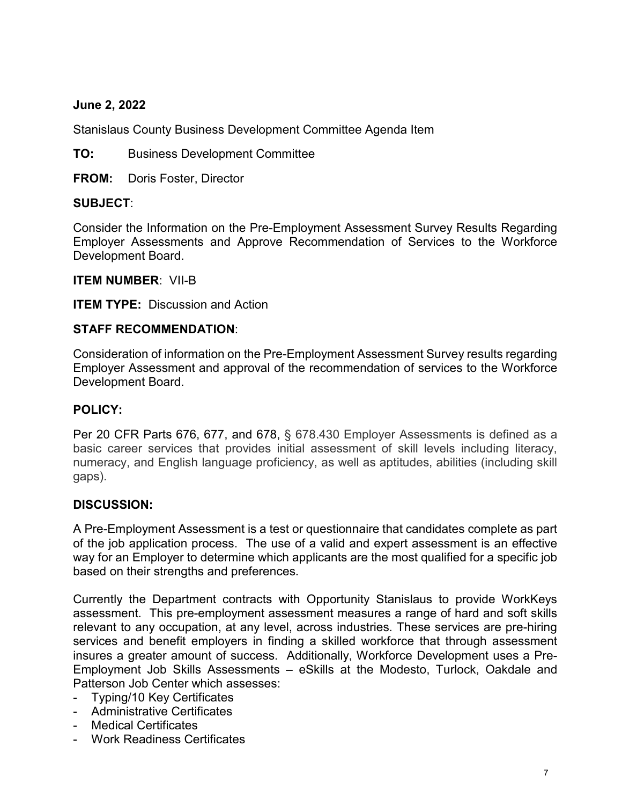### **June 2, 2022**

Stanislaus County Business Development Committee Agenda Item

**TO:** Business Development Committee

**FROM:** Doris Foster, Director

### **SUBJECT**:

Consider the Information on the Pre-Employment Assessment Survey Results Regarding Employer Assessments and Approve Recommendation of Services to the Workforce Development Board.

**ITEM NUMBER**: VII-B

**ITEM TYPE:** Discussion and Action

### **STAFF RECOMMENDATION**:

Consideration of information on the Pre-Employment Assessment Survey results regarding Employer Assessment and approval of the recommendation of services to the Workforce Development Board.

### **POLICY:**

Per 20 CFR Parts 676, 677, and 678, § 678.430 Employer Assessments is defined as a basic career services that provides initial assessment of skill levels including literacy, numeracy, and English language proficiency, as well as aptitudes, abilities (including skill gaps).

### **DISCUSSION:**

A Pre-Employment Assessment is a test or questionnaire that candidates complete as part of the job application process. The use of a valid and expert assessment is an effective way for an Employer to determine which applicants are the most qualified for a specific job based on their strengths and preferences.

Currently the Department contracts with Opportunity Stanislaus to provide WorkKeys assessment. This pre-employment assessment measures a range of hard and soft skills relevant to any occupation, at any level, across industries. These services are pre-hiring services and benefit employers in finding a skilled workforce that through assessment insures a greater amount of success. Additionally, Workforce Development uses a Pre-Employment Job Skills Assessments – eSkills at the Modesto, Turlock, Oakdale and Patterson Job Center which assesses:

- Typing/10 Key Certificates
- Administrative Certificates
- Medical Certificates
- Work Readiness Certificates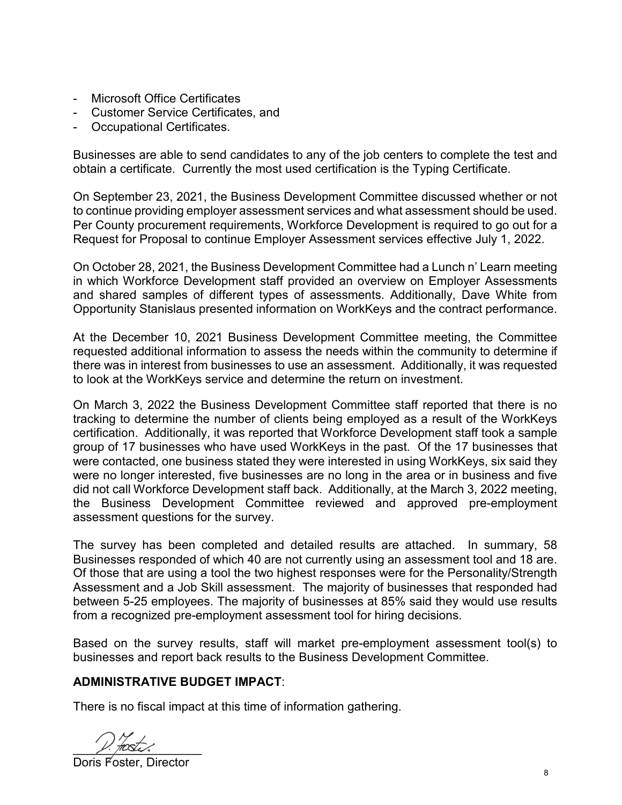- Microsoft Office Certificates
- Customer Service Certificates, and
- Occupational Certificates.

Businesses are able to send candidates to any of the job centers to complete the test and obtain a certificate. Currently the most used certification is the Typing Certificate.

On September 23, 2021, the Business Development Committee discussed whether or not to continue providing employer assessment services and what assessment should be used. Per County procurement requirements, Workforce Development is required to go out for a Request for Proposal to continue Employer Assessment services effective July 1, 2022.

On October 28, 2021, the Business Development Committee had a Lunch n' Learn meeting in which Workforce Development staff provided an overview on Employer Assessments and shared samples of different types of assessments. Additionally, Dave White from Opportunity Stanislaus presented information on WorkKeys and the contract performance.

At the December 10, 2021 Business Development Committee meeting, the Committee requested additional information to assess the needs within the community to determine if there was in interest from businesses to use an assessment. Additionally, it was requested to look at the WorkKeys service and determine the return on investment.

On March 3, 2022 the Business Development Committee staff reported that there is no tracking to determine the number of clients being employed as a result of the WorkKeys certification. Additionally, it was reported that Workforce Development staff took a sample group of 17 businesses who have used WorkKeys in the past. Of the 17 businesses that were contacted, one business stated they were interested in using WorkKeys, six said they were no longer interested, five businesses are no long in the area or in business and five did not call Workforce Development staff back. Additionally, at the March 3, 2022 meeting, the Business Development Committee reviewed and approved pre-employment assessment questions for the survey.

The survey has been completed and detailed results are attached. In summary, 58 Businesses responded of which 40 are not currently using an assessment tool and 18 are. Of those that are using a tool the two highest responses were for the Personality/Strength Assessment and a Job Skill assessment. The majority of businesses that responded had between 5-25 employees. The majority of businesses at 85% said they would use results from a recognized pre-employment assessment tool for hiring decisions.

Based on the survey results, staff will market pre-employment assessment tool(s) to businesses and report back results to the Business Development Committee.

### **ADMINISTRATIVE BUDGET IMPACT**:

There is no fiscal impact at this time of information gathering.

 $V.$  froster.

Doris Foster, Director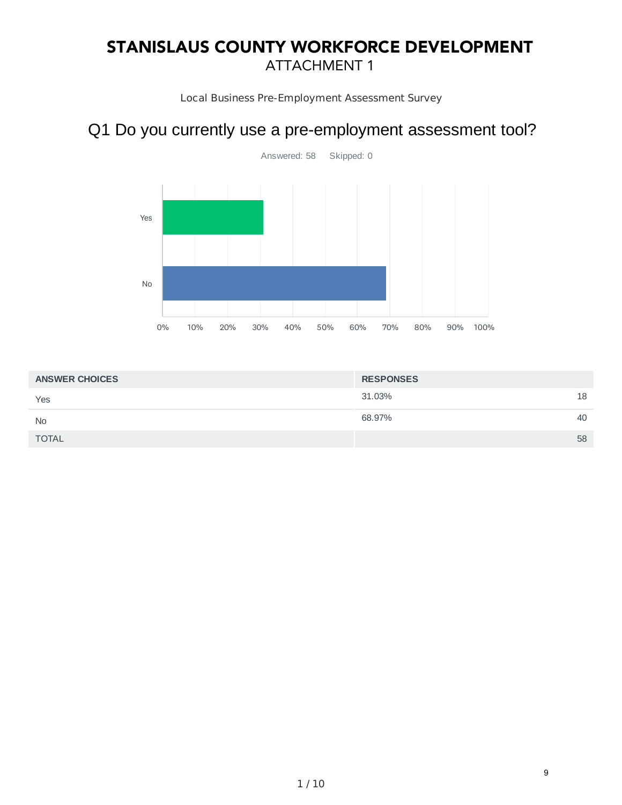# STANISLAUS COUNTY WORKFORCE DEVELOPMENT ATTACHMENT 1

Local Business Pre-Employment Assessment Survey

## Q1 Do you currently use a pre-employment assessment tool?



| <b>ANSWER CHOICES</b> | <b>RESPONSES</b> |    |
|-----------------------|------------------|----|
| Yes                   | 31.03%           | 18 |
| <b>No</b>             | 68.97%           | 40 |
| <b>TOTAL</b>          |                  | 58 |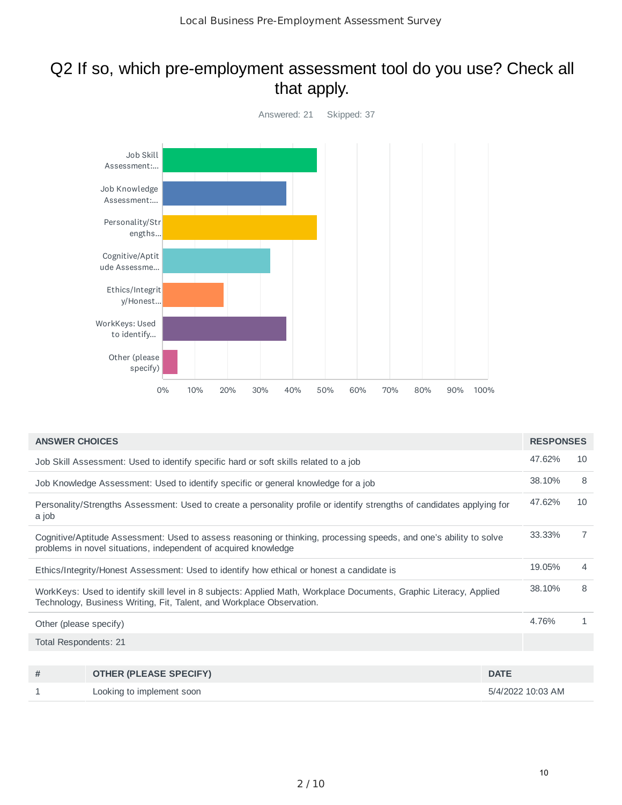## Q2 If so, which pre-employment assessment tool do you use? Check all that apply.



| <b>ANSWER CHOICES</b>  |                                                                                                                                                                                             |             | <b>RESPONSES</b>  |    |
|------------------------|---------------------------------------------------------------------------------------------------------------------------------------------------------------------------------------------|-------------|-------------------|----|
|                        | Job Skill Assessment: Used to identify specific hard or soft skills related to a job                                                                                                        |             | 47.62%            | 10 |
|                        | Job Knowledge Assessment: Used to identify specific or general knowledge for a job                                                                                                          |             | 38.10%            | 8  |
| a job                  | Personality/Strengths Assessment: Used to create a personality profile or identify strengths of candidates applying for                                                                     |             | 47.62%            | 10 |
|                        | Cognitive/Aptitude Assessment: Used to assess reasoning or thinking, processing speeds, and one's ability to solve<br>problems in novel situations, independent of acquired knowledge       |             | 33.33%            | 7  |
|                        | Ethics/Integrity/Honest Assessment: Used to identify how ethical or honest a candidate is                                                                                                   |             | 19.05%            | 4  |
|                        | WorkKeys: Used to identify skill level in 8 subjects: Applied Math, Workplace Documents, Graphic Literacy, Applied<br>Technology, Business Writing, Fit, Talent, and Workplace Observation. |             | 38.10%            | 8  |
| Other (please specify) |                                                                                                                                                                                             |             | 4.76%             | 1  |
| Total Respondents: 21  |                                                                                                                                                                                             |             |                   |    |
|                        |                                                                                                                                                                                             |             |                   |    |
| #                      | <b>OTHER (PLEASE SPECIFY)</b>                                                                                                                                                               | <b>DATE</b> |                   |    |
| 1                      | Looking to implement soon                                                                                                                                                                   |             | 5/4/2022 10:03 AM |    |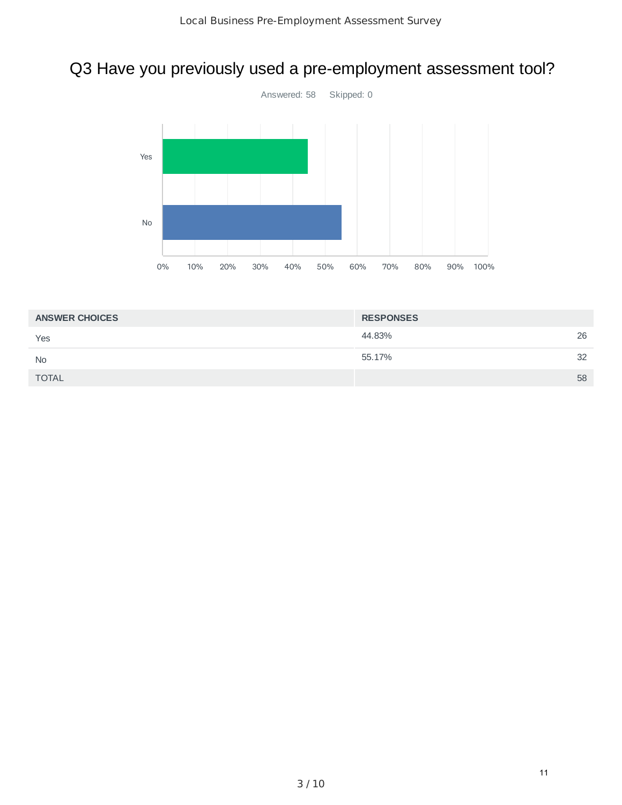# Q3 Have you previously used a pre-employment assessment tool?



| <b>ANSWER CHOICES</b> | <b>RESPONSES</b> |    |
|-----------------------|------------------|----|
| Yes                   | 44.83%           | 26 |
| <b>No</b>             | 55.17%           | 32 |
| <b>TOTAL</b>          |                  | 58 |
|                       |                  |    |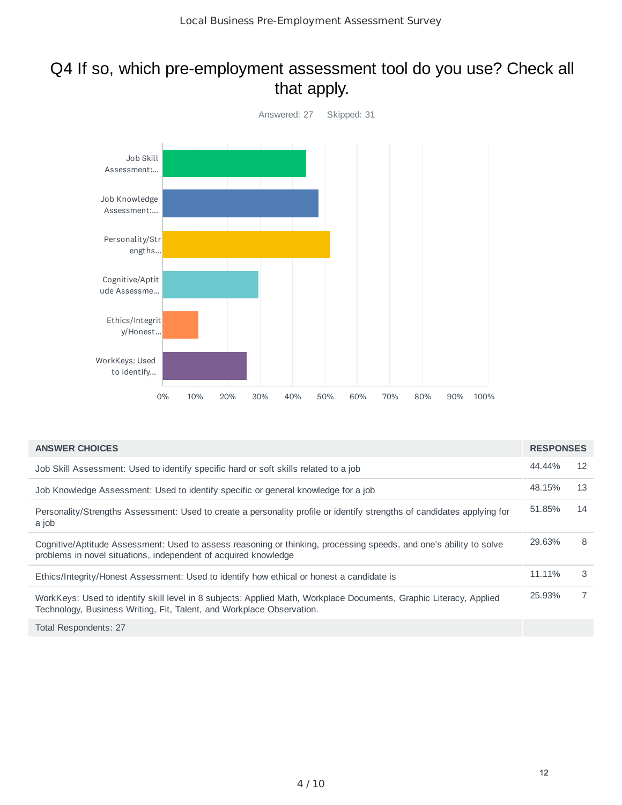## Q4 If so, which pre-employment assessment tool do you use? Check all that apply.



| <b>ANSWER CHOICES</b>                                                                                                                                                                       | <b>RESPONSES</b> |                |
|---------------------------------------------------------------------------------------------------------------------------------------------------------------------------------------------|------------------|----------------|
| Job Skill Assessment: Used to identify specific hard or soft skills related to a job                                                                                                        | 44.44%           | 12             |
| Job Knowledge Assessment: Used to identify specific or general knowledge for a job                                                                                                          | 48.15%           | 13             |
| Personality/Strengths Assessment: Used to create a personality profile or identify strengths of candidates applying for<br>a job                                                            | 51.85%           | 14             |
| Cognitive/Aptitude Assessment: Used to assess reasoning or thinking, processing speeds, and one's ability to solve<br>problems in novel situations, independent of acquired knowledge       | 29.63%           | 8              |
| Ethics/Integrity/Honest Assessment: Used to identify how ethical or honest a candidate is                                                                                                   | 11.11%           | 3              |
| WorkKeys: Used to identify skill level in 8 subjects: Applied Math, Workplace Documents, Graphic Literacy, Applied<br>Technology, Business Writing, Fit, Talent, and Workplace Observation. | 25.93%           | $\overline{7}$ |
| Total Respondents: 27                                                                                                                                                                       |                  |                |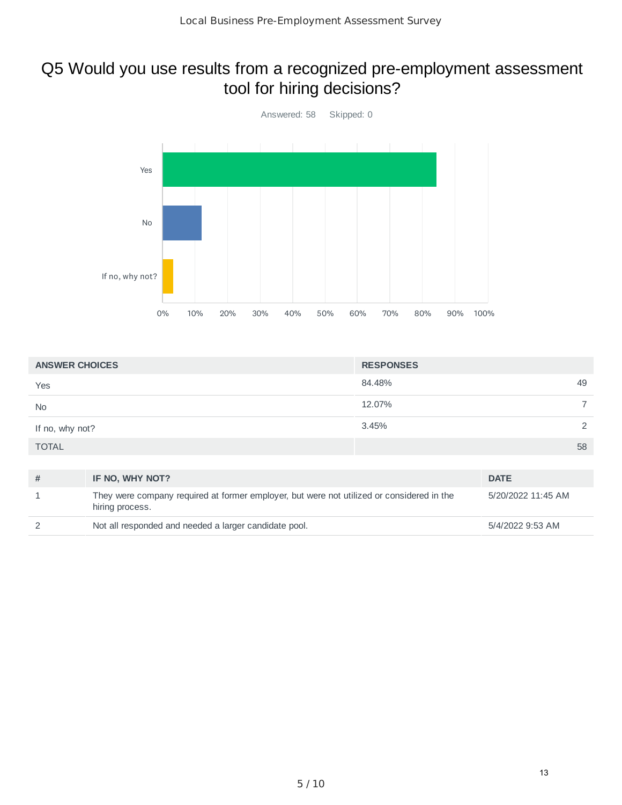# Q5 Would you use results from a recognized pre-employment assessment tool for hiring decisions?



| <b>ANSWER CHOICES</b> |                                                                                                              | <b>RESPONSES</b> |                    |
|-----------------------|--------------------------------------------------------------------------------------------------------------|------------------|--------------------|
| Yes                   |                                                                                                              | 84.48%           | 49                 |
| <b>No</b>             |                                                                                                              | 12.07%           |                    |
| If no, why not?       |                                                                                                              | 3.45%            | 2                  |
| <b>TOTAL</b>          |                                                                                                              |                  | 58                 |
|                       |                                                                                                              |                  |                    |
| #                     | IF NO, WHY NOT?                                                                                              |                  | <b>DATE</b>        |
| 1                     | They were company required at former employer, but were not utilized or considered in the<br>hiring process. |                  | 5/20/2022 11:45 AM |

|  |  | Not all responded and needed a larger candidate pool. | 5/4/2022 9:53 AM |
|--|--|-------------------------------------------------------|------------------|
|--|--|-------------------------------------------------------|------------------|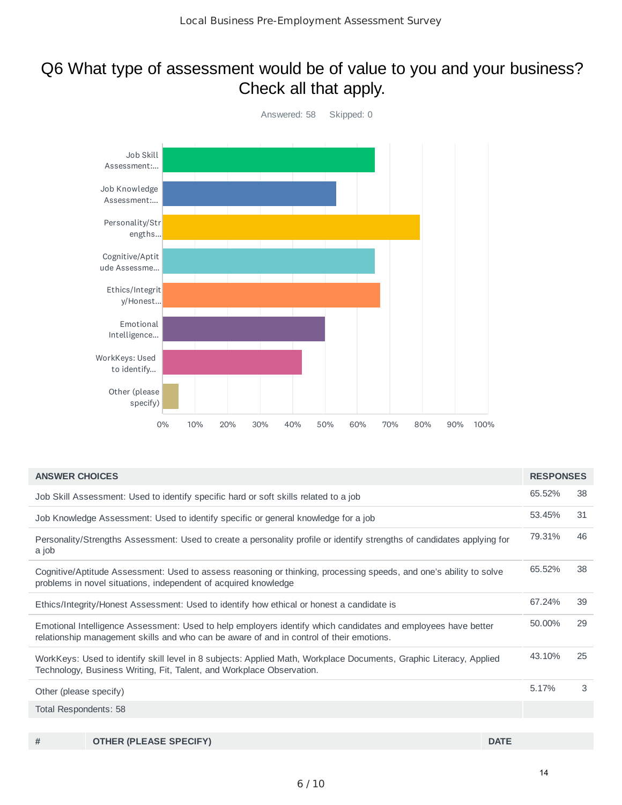## Q6 What type of assessment would be of value to you and your business? Check all that apply.



| <b>ANSWER CHOICES</b>  |                                                                                                                                                                                                           |             | <b>RESPONSES</b> |    |
|------------------------|-----------------------------------------------------------------------------------------------------------------------------------------------------------------------------------------------------------|-------------|------------------|----|
|                        | Job Skill Assessment: Used to identify specific hard or soft skills related to a job                                                                                                                      |             | 65.52%           | 38 |
|                        | Job Knowledge Assessment: Used to identify specific or general knowledge for a job                                                                                                                        |             | 53.45%           | 31 |
| a job                  | Personality/Strengths Assessment: Used to create a personality profile or identify strengths of candidates applying for                                                                                   |             | 79.31%           | 46 |
|                        | Cognitive/Aptitude Assessment: Used to assess reasoning or thinking, processing speeds, and one's ability to solve<br>problems in novel situations, independent of acquired knowledge                     |             | 65.52%           | 38 |
|                        | Ethics/Integrity/Honest Assessment: Used to identify how ethical or honest a candidate is                                                                                                                 |             | 67.24%           | 39 |
|                        | Emotional Intelligence Assessment: Used to help employers identify which candidates and employees have better<br>relationship management skills and who can be aware of and in control of their emotions. |             | 50.00%           | 29 |
|                        | WorkKeys: Used to identify skill level in 8 subjects: Applied Math, Workplace Documents, Graphic Literacy, Applied<br>Technology, Business Writing, Fit, Talent, and Workplace Observation.               |             | 43.10%           | 25 |
| Other (please specify) |                                                                                                                                                                                                           |             | 5.17%            | 3  |
| Total Respondents: 58  |                                                                                                                                                                                                           |             |                  |    |
|                        |                                                                                                                                                                                                           |             |                  |    |
| #                      | <b>OTHER (PLEASE SPECIFY)</b>                                                                                                                                                                             | <b>DATE</b> |                  |    |

6 / 10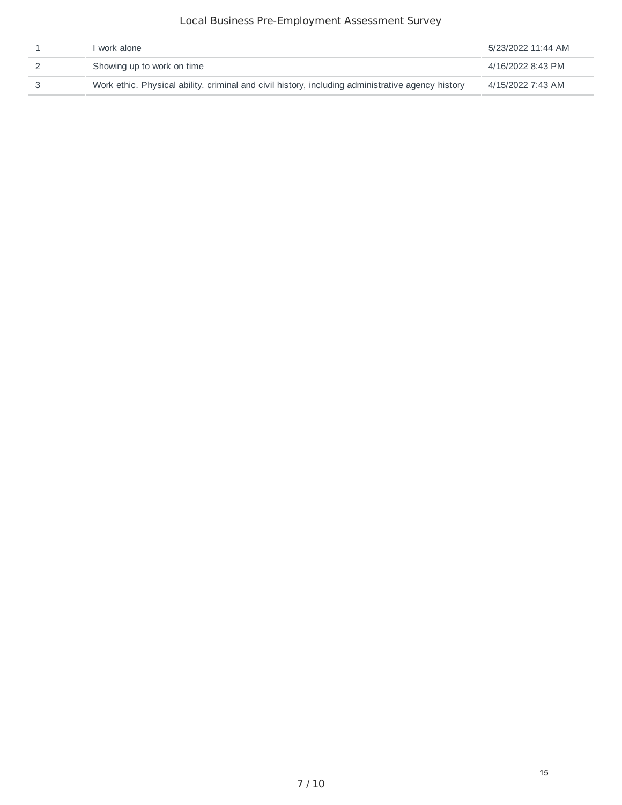### Local Business Pre-Employment Assessment Survey

| work alone                                                                                        | 5/23/2022 11:44 AM |
|---------------------------------------------------------------------------------------------------|--------------------|
| Showing up to work on time                                                                        | 4/16/2022 8:43 PM  |
| Work ethic. Physical ability, criminal and civil history, including administrative agency history | 4/15/2022 7:43 AM  |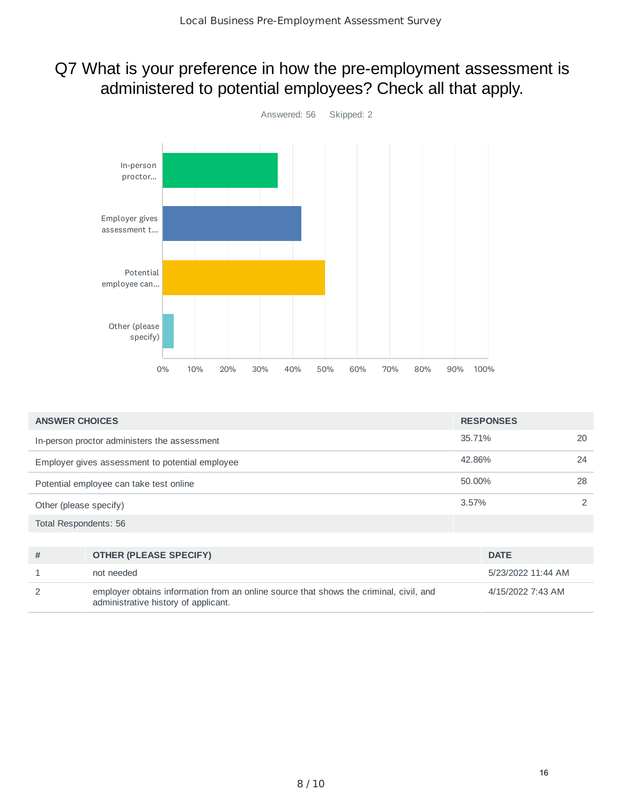## Q7 What is your preference in how the pre-employment assessment is administered to potential employees? Check all that apply.



| <b>ANSWER CHOICES</b>                           | <b>RESPONSES</b> |    |
|-------------------------------------------------|------------------|----|
| In-person proctor administers the assessment    | 35.71%           | 20 |
| Employer gives assessment to potential employee | 42.86%           | 24 |
| Potential employee can take test online         | 50.00%           | 28 |
| Other (please specify)                          | $3.57\%$         | 2  |
| Total Respondents: 56                           |                  |    |

| # | <b>OTHER (PLEASE SPECIFY)</b>                                                                                                  | <b>DATE</b>        |
|---|--------------------------------------------------------------------------------------------------------------------------------|--------------------|
|   | not needed                                                                                                                     | 5/23/2022 11:44 AM |
|   | employer obtains information from an online source that shows the criminal, civil, and<br>administrative history of applicant. | 4/15/2022 7:43 AM  |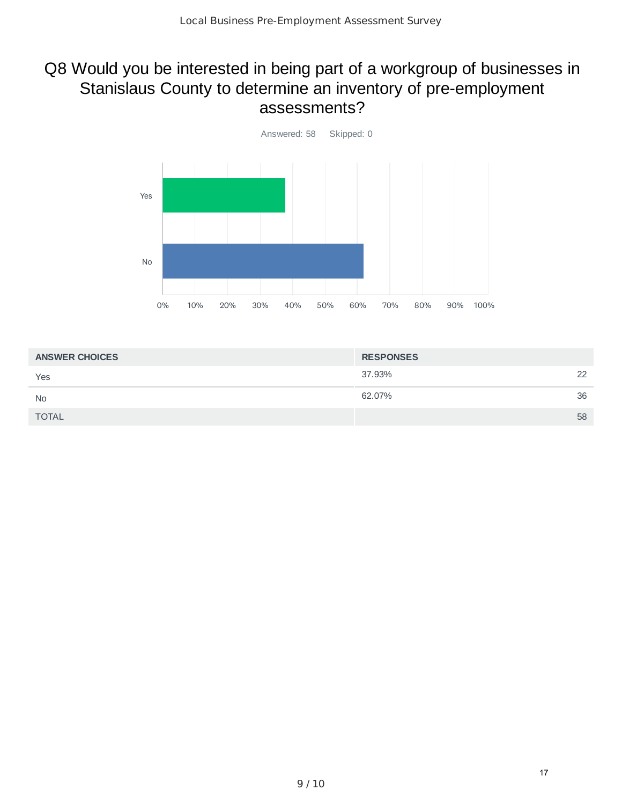## Q8 Would you be interested in being part of a workgroup of businesses in Stanislaus County to determine an inventory of pre-employment assessments?



| <b>ANSWER CHOICES</b> | <b>RESPONSES</b> |    |
|-----------------------|------------------|----|
| Yes                   | 37.93%           | 22 |
| <b>No</b>             | 62.07%           | 36 |
| <b>TOTAL</b>          |                  | 58 |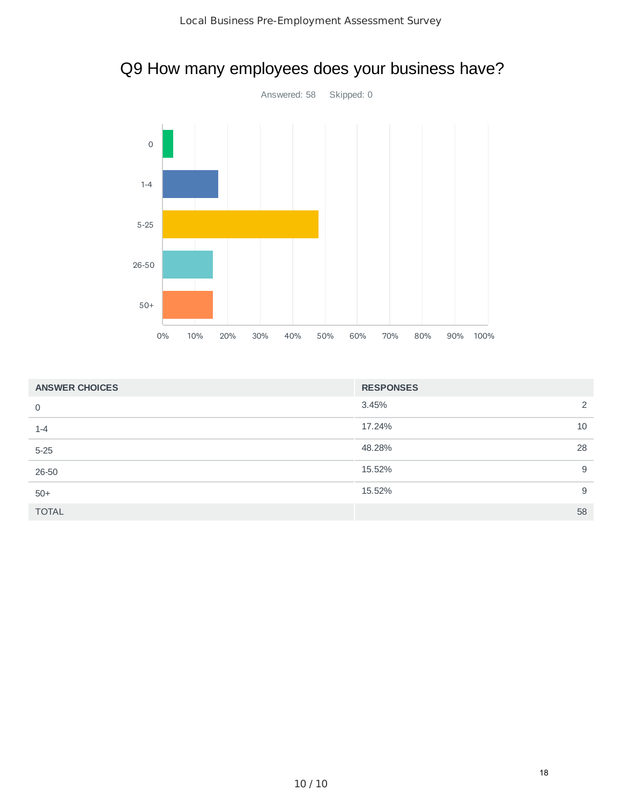



| <b>ANSWER CHOICES</b> | <b>RESPONSES</b> |    |
|-----------------------|------------------|----|
| 0                     | 3.45%            | 2  |
| $1 - 4$               | 17.24%           | 10 |
| $5 - 25$              | 48.28%           | 28 |
| 26-50                 | 15.52%           | 9  |
| $50+$                 | 15.52%           | 9  |
| <b>TOTAL</b>          |                  | 58 |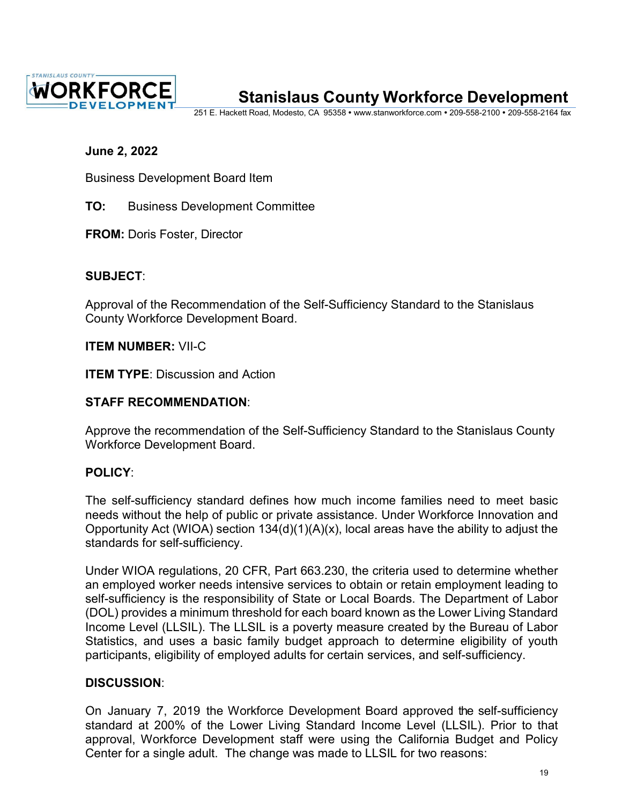

# **Stanislaus County Workforce Development**

251 E. Hackett Road, Modesto, CA 95358 · [www.stanworkforce.com](http://www.stanworkforce.com/) · 209-558-2100 · 209-558-2164 fax

### **June 2, 2022**

Business Development Board Item

**TO:** Business Development Committee

**FROM:** Doris Foster, Director

### **SUBJECT**:

Approval of the Recommendation of the Self-Sufficiency Standard to the Stanislaus County Workforce Development Board.

**ITEM NUMBER:** VII-C

**ITEM TYPE: Discussion and Action** 

### **STAFF RECOMMENDATION**:

Approve the recommendation of the Self-Sufficiency Standard to the Stanislaus County Workforce Development Board.

### **POLICY**:

The self-sufficiency standard defines how much income families need to meet basic needs without the help of public or private assistance. Under Workforce Innovation and Opportunity Act (WIOA) section 134(d)(1)(A)(x), local areas have the ability to adjust the standards for self-sufficiency.

Under WIOA regulations, 20 CFR, Part 663.230, the criteria used to determine whether an employed worker needs intensive services to obtain or retain employment leading to self-sufficiency is the responsibility of State or Local Boards. The Department of Labor (DOL) provides a minimum threshold for each board known as the Lower Living Standard Income Level (LLSIL). The LLSIL is a poverty measure created by the Bureau of Labor Statistics, and uses a basic family budget approach to determine eligibility of youth participants, eligibility of employed adults for certain services, and self-sufficiency.

### **DISCUSSION**:

On January 7, 2019 the Workforce Development Board approved the self-sufficiency standard at 200% of the Lower Living Standard Income Level (LLSIL). Prior to that approval, Workforce Development staff were using the California Budget and Policy Center for a single adult. The change was made to LLSIL for two reasons: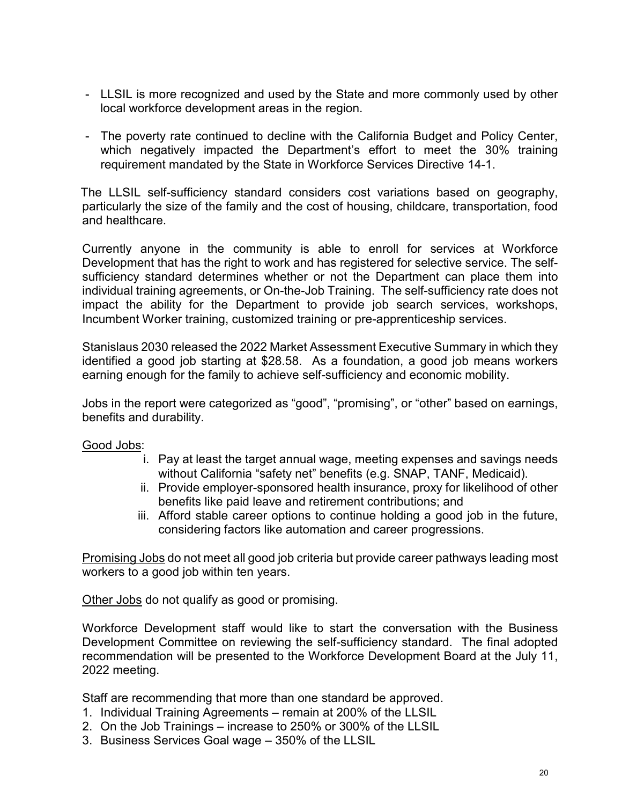- LLSIL is more recognized and used by the State and more commonly used by other local workforce development areas in the region.
- The poverty rate continued to decline with the California Budget and Policy Center, which negatively impacted the Department's effort to meet the 30% training requirement mandated by the State in Workforce Services Directive 14-1.

The LLSIL self-sufficiency standard considers cost variations based on geography, particularly the size of the family and the cost of housing, childcare, transportation, food and healthcare.

Currently anyone in the community is able to enroll for services at Workforce Development that has the right to work and has registered for selective service. The selfsufficiency standard determines whether or not the Department can place them into individual training agreements, or On-the-Job Training. The self-sufficiency rate does not impact the ability for the Department to provide job search services, workshops, Incumbent Worker training, customized training or pre-apprenticeship services.

Stanislaus 2030 released the 2022 Market Assessment Executive Summary in which they identified a good job starting at \$28.58. As a foundation, a good job means workers earning enough for the family to achieve self-sufficiency and economic mobility.

Jobs in the report were categorized as "good", "promising", or "other" based on earnings, benefits and durability.

### Good Jobs:

- i. Pay at least the target annual wage, meeting expenses and savings needs without California "safety net" benefits (e.g. SNAP, TANF, Medicaid).
- ii. Provide employer-sponsored health insurance, proxy for likelihood of other benefits like paid leave and retirement contributions; and
- iii. Afford stable career options to continue holding a good job in the future, considering factors like automation and career progressions.

Promising Jobs do not meet all good job criteria but provide career pathways leading most workers to a good job within ten years.

Other Jobs do not qualify as good or promising.

Workforce Development staff would like to start the conversation with the Business Development Committee on reviewing the self-sufficiency standard. The final adopted recommendation will be presented to the Workforce Development Board at the July 11, 2022 meeting.

Staff are recommending that more than one standard be approved.

- 1. Individual Training Agreements remain at 200% of the LLSIL
- 2. On the Job Trainings increase to 250% or 300% of the LLSIL
- 3. Business Services Goal wage 350% of the LLSIL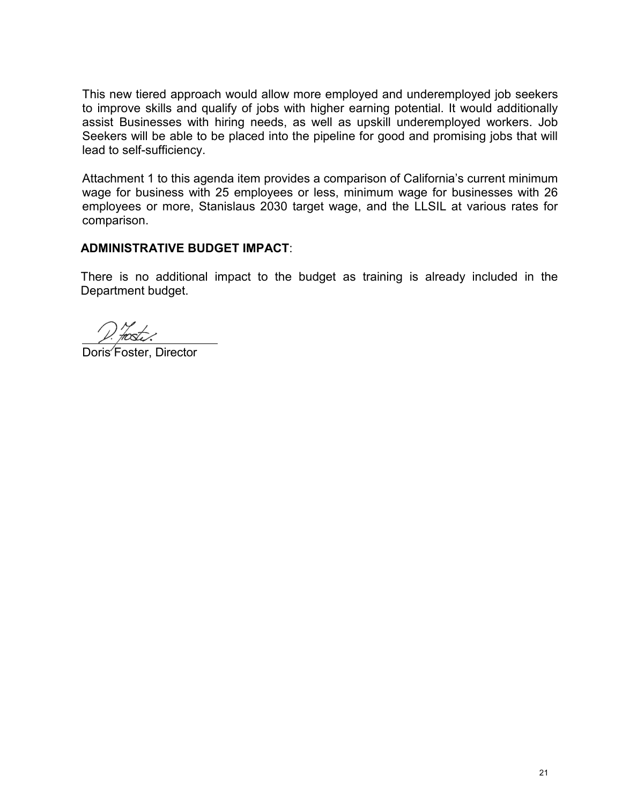This new tiered approach would allow more employed and underemployed job seekers to improve skills and qualify of jobs with higher earning potential. It would additionally assist Businesses with hiring needs, as well as upskill underemployed workers. Job Seekers will be able to be placed into the pipeline for good and promising jobs that will lead to self-sufficiency.

Attachment 1 to this agenda item provides a comparison of California's current minimum wage for business with 25 employees or less, minimum wage for businesses with 26 employees or more, Stanislaus 2030 target wage, and the LLSIL at various rates for comparison.

### **ADMINISTRATIVE BUDGET IMPACT**:

There is no additional impact to the budget as training is already included in the Department budget.

Doris Foster, Director